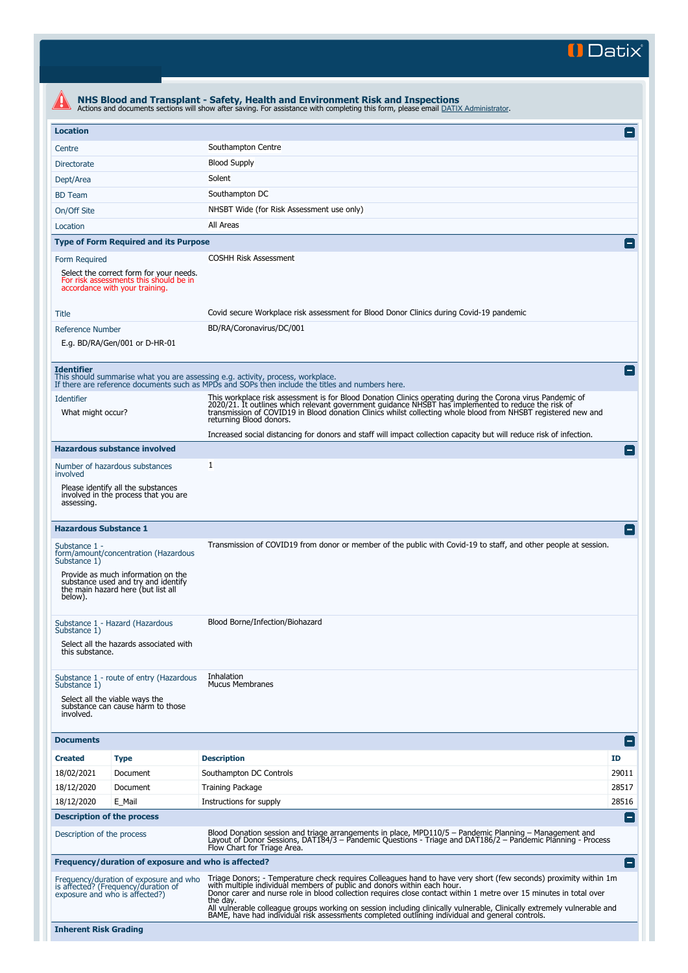<sup>1</sup>Datix

|                                                                                                                     |                                                                                                                                                         | NHS Blood and Transplant - Safety, Health and Environment Risk and Inspections<br>Actions and documents sections will show after saving. For assistance with completing this form, please email DATIX Administrator.                                                                                                                                                                                                                                                                                                                                        |                          |  |  |  |
|---------------------------------------------------------------------------------------------------------------------|---------------------------------------------------------------------------------------------------------------------------------------------------------|-------------------------------------------------------------------------------------------------------------------------------------------------------------------------------------------------------------------------------------------------------------------------------------------------------------------------------------------------------------------------------------------------------------------------------------------------------------------------------------------------------------------------------------------------------------|--------------------------|--|--|--|
| <b>Location</b>                                                                                                     |                                                                                                                                                         |                                                                                                                                                                                                                                                                                                                                                                                                                                                                                                                                                             |                          |  |  |  |
| Centre                                                                                                              |                                                                                                                                                         | Southampton Centre                                                                                                                                                                                                                                                                                                                                                                                                                                                                                                                                          |                          |  |  |  |
| Directorate                                                                                                         |                                                                                                                                                         | <b>Blood Supply</b>                                                                                                                                                                                                                                                                                                                                                                                                                                                                                                                                         |                          |  |  |  |
| Dept/Area                                                                                                           |                                                                                                                                                         | Solent                                                                                                                                                                                                                                                                                                                                                                                                                                                                                                                                                      |                          |  |  |  |
| <b>BD</b> Team                                                                                                      |                                                                                                                                                         | Southampton DC                                                                                                                                                                                                                                                                                                                                                                                                                                                                                                                                              |                          |  |  |  |
| On/Off Site                                                                                                         |                                                                                                                                                         | NHSBT Wide (for Risk Assessment use only)                                                                                                                                                                                                                                                                                                                                                                                                                                                                                                                   |                          |  |  |  |
| Location                                                                                                            |                                                                                                                                                         | All Areas                                                                                                                                                                                                                                                                                                                                                                                                                                                                                                                                                   |                          |  |  |  |
|                                                                                                                     | <b>Type of Form Required and its Purpose</b>                                                                                                            |                                                                                                                                                                                                                                                                                                                                                                                                                                                                                                                                                             |                          |  |  |  |
| Form Required                                                                                                       |                                                                                                                                                         | <b>COSHH Risk Assessment</b>                                                                                                                                                                                                                                                                                                                                                                                                                                                                                                                                |                          |  |  |  |
| Select the correct form for your needs.<br>For risk assessments this should be in<br>accordance with your training. |                                                                                                                                                         |                                                                                                                                                                                                                                                                                                                                                                                                                                                                                                                                                             |                          |  |  |  |
| Title                                                                                                               |                                                                                                                                                         | Covid secure Workplace risk assessment for Blood Donor Clinics during Covid-19 pandemic                                                                                                                                                                                                                                                                                                                                                                                                                                                                     |                          |  |  |  |
| <b>Reference Number</b>                                                                                             | E.g. BD/RA/Gen/001 or D-HR-01                                                                                                                           | BD/RA/Coronavirus/DC/001                                                                                                                                                                                                                                                                                                                                                                                                                                                                                                                                    |                          |  |  |  |
| <b>Identifier</b>                                                                                                   |                                                                                                                                                         | This should summarise what you are assessing e.g. activity, process, workplace.<br>If there are reference documents such as MPDs and SOPs then include the titles and numbers here.                                                                                                                                                                                                                                                                                                                                                                         |                          |  |  |  |
| <b>Identifier</b><br>What might occur?                                                                              |                                                                                                                                                         | This workplace risk assessment is for Blood Donation Clinics operating during the Corona virus Pandemic of<br>2020/21. It outlines which relevant government guidance NHSBT has implemented to reduce the risk of<br>transmission of COVID19 in Blood donation Clinics whilst collecting whole blood from NHSBT registered new and<br>returning Blood donors.                                                                                                                                                                                               |                          |  |  |  |
|                                                                                                                     |                                                                                                                                                         | Increased social distancing for donors and staff will impact collection capacity but will reduce risk of infection.                                                                                                                                                                                                                                                                                                                                                                                                                                         |                          |  |  |  |
|                                                                                                                     | <b>Hazardous substance involved</b>                                                                                                                     |                                                                                                                                                                                                                                                                                                                                                                                                                                                                                                                                                             |                          |  |  |  |
| involved                                                                                                            | Number of hazardous substances                                                                                                                          | $\mathbf{1}$                                                                                                                                                                                                                                                                                                                                                                                                                                                                                                                                                |                          |  |  |  |
| assessing.                                                                                                          | Please identify all the substances<br>involved in the process that you are                                                                              |                                                                                                                                                                                                                                                                                                                                                                                                                                                                                                                                                             |                          |  |  |  |
| <b>Hazardous Substance 1</b>                                                                                        |                                                                                                                                                         |                                                                                                                                                                                                                                                                                                                                                                                                                                                                                                                                                             |                          |  |  |  |
| Substance 1 -<br>Substance 1)<br>below).                                                                            | form/amount/concentration (Hazardous<br>Provide as much information on the<br>substance used and try and identify<br>the main hazard here (but list all | Transmission of COVID19 from donor or member of the public with Covid-19 to staff, and other people at session.                                                                                                                                                                                                                                                                                                                                                                                                                                             |                          |  |  |  |
| Substance 1)<br>this substance.                                                                                     | Substance 1 - Hazard (Hazardous<br>Select all the hazards associated with                                                                               | Blood Borne/Infection/Biohazard                                                                                                                                                                                                                                                                                                                                                                                                                                                                                                                             |                          |  |  |  |
| Substance 1)<br>involved.                                                                                           | Substance 1 - route of entry (Hazardous<br>Select all the viable ways the<br>substance can cause harm to those                                          | Inhalation<br><b>Mucus Membranes</b>                                                                                                                                                                                                                                                                                                                                                                                                                                                                                                                        |                          |  |  |  |
| <b>Documents</b>                                                                                                    |                                                                                                                                                         |                                                                                                                                                                                                                                                                                                                                                                                                                                                                                                                                                             | $\blacksquare$           |  |  |  |
| <b>Created</b>                                                                                                      | <b>Type</b>                                                                                                                                             | <b>Description</b>                                                                                                                                                                                                                                                                                                                                                                                                                                                                                                                                          | ID                       |  |  |  |
| 18/02/2021                                                                                                          | Document                                                                                                                                                | Southampton DC Controls                                                                                                                                                                                                                                                                                                                                                                                                                                                                                                                                     | 29011                    |  |  |  |
| 18/12/2020                                                                                                          | Document                                                                                                                                                | <b>Training Package</b>                                                                                                                                                                                                                                                                                                                                                                                                                                                                                                                                     | 28517                    |  |  |  |
| 18/12/2020                                                                                                          | E_Mail                                                                                                                                                  | Instructions for supply                                                                                                                                                                                                                                                                                                                                                                                                                                                                                                                                     | 28516                    |  |  |  |
| <b>Description of the process</b>                                                                                   |                                                                                                                                                         |                                                                                                                                                                                                                                                                                                                                                                                                                                                                                                                                                             | н                        |  |  |  |
| Description of the process                                                                                          |                                                                                                                                                         | Blood Donation session and triage arrangements in place, MPD110/5 – Pandemic Planning – Management and<br>Layout of Donor Sessions, DAT184/3 - Pandemic Questions - Triage and DAT186/2 - Pandemic Planning - Process<br>Flow Chart for Triage Area.                                                                                                                                                                                                                                                                                                        |                          |  |  |  |
|                                                                                                                     | Frequency/duration of exposure and who is affected?                                                                                                     |                                                                                                                                                                                                                                                                                                                                                                                                                                                                                                                                                             | $\overline{\phantom{m}}$ |  |  |  |
| Frequency/duration of exposure and who<br>is affected? (Frequency/duration of<br>exposure and who is affected?)     |                                                                                                                                                         | Triage Donors; - Temperature check requires Colleagues hand to have very short (few seconds) proximity within 1m<br>with multiple individual members of public and donors within each hour.<br>Donor carer and nurse role in blood collection requires close contact within 1 metre over 15 minutes in total over<br>the day.<br>All vulnerable colleague groups working on session including clinically vulnerable, Clinically extremely vulnerable and<br>BAME, have had individual risk assessments completed outlining individual and general controls. |                          |  |  |  |
| <b>Inherent Risk Grading</b>                                                                                        |                                                                                                                                                         |                                                                                                                                                                                                                                                                                                                                                                                                                                                                                                                                                             |                          |  |  |  |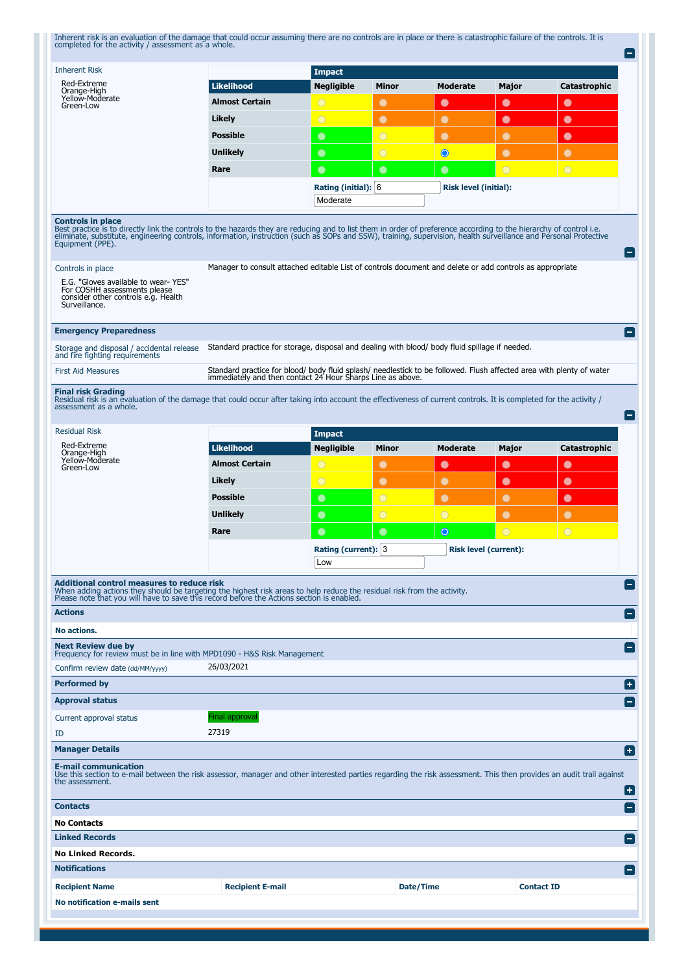| <b>Inherent Risk</b>                                                                                                                                                                                                                                                                                                                                                                                                                                                                                                                                                                                                                                                                                                                                                                                                                                                                                                                        |                                                                                                                                                                                    | <b>Impact</b>                   |                |                              |                   |                |
|---------------------------------------------------------------------------------------------------------------------------------------------------------------------------------------------------------------------------------------------------------------------------------------------------------------------------------------------------------------------------------------------------------------------------------------------------------------------------------------------------------------------------------------------------------------------------------------------------------------------------------------------------------------------------------------------------------------------------------------------------------------------------------------------------------------------------------------------------------------------------------------------------------------------------------------------|------------------------------------------------------------------------------------------------------------------------------------------------------------------------------------|---------------------------------|----------------|------------------------------|-------------------|----------------|
| Red-Extreme<br>Orange-High                                                                                                                                                                                                                                                                                                                                                                                                                                                                                                                                                                                                                                                                                                                                                                                                                                                                                                                  | <b>Likelihood</b>                                                                                                                                                                  | <b>Negligible</b>               | Minor          | <b>Moderate</b>              | Major             | Catastrophic   |
| Yellow-Moderate<br>Green-Low                                                                                                                                                                                                                                                                                                                                                                                                                                                                                                                                                                                                                                                                                                                                                                                                                                                                                                                | <b>Almost Certain</b>                                                                                                                                                              | $\circ$                         | $\bullet$      | $\bullet$                    | $\bullet$         | $\bullet$      |
|                                                                                                                                                                                                                                                                                                                                                                                                                                                                                                                                                                                                                                                                                                                                                                                                                                                                                                                                             | Likely                                                                                                                                                                             | $\overline{O}$                  | $\bullet$      | $\bullet$                    | $\bullet$         | $\bullet$      |
|                                                                                                                                                                                                                                                                                                                                                                                                                                                                                                                                                                                                                                                                                                                                                                                                                                                                                                                                             | <b>Possible</b>                                                                                                                                                                    | $\bullet$                       | $\overline{O}$ | $\bullet$                    | $\bullet$         | $\bullet$      |
|                                                                                                                                                                                                                                                                                                                                                                                                                                                                                                                                                                                                                                                                                                                                                                                                                                                                                                                                             | <b>Unlikely</b>                                                                                                                                                                    | $\bullet$                       | $\overline{O}$ | $\bullet$                    | $\bullet$         | $\bullet$      |
|                                                                                                                                                                                                                                                                                                                                                                                                                                                                                                                                                                                                                                                                                                                                                                                                                                                                                                                                             |                                                                                                                                                                                    |                                 |                |                              |                   |                |
|                                                                                                                                                                                                                                                                                                                                                                                                                                                                                                                                                                                                                                                                                                                                                                                                                                                                                                                                             | Rare                                                                                                                                                                               | $\bullet$                       | $\bullet$      | $\bullet$                    | $\circ$           | $\overline{O}$ |
|                                                                                                                                                                                                                                                                                                                                                                                                                                                                                                                                                                                                                                                                                                                                                                                                                                                                                                                                             |                                                                                                                                                                                    | Rating (initial): 6<br>Moderate |                | <b>Risk level (initial):</b> |                   |                |
|                                                                                                                                                                                                                                                                                                                                                                                                                                                                                                                                                                                                                                                                                                                                                                                                                                                                                                                                             |                                                                                                                                                                                    |                                 |                |                              |                   |                |
| <b>Controls in place</b><br>Best practice is to directly link the controls to the hazards they are reducing and to list them in order of preference according to the hierarchy of control i.e.<br>eliminate, substitute, engineering controls, information, i<br>Equipment (PPE).<br>Controls in place<br>E.G. "Gloves available to wear-YES"<br>For COSHH assessments please                                                                                                                                                                                                                                                                                                                                                                                                                                                                                                                                                               | Manager to consult attached editable List of controls document and delete or add controls as appropriate                                                                           |                                 |                |                              |                   |                |
| consider other controls e.g. Health<br>Surveillance.<br><b>Emergency Preparedness</b><br>Storage and disposal / accidental release                                                                                                                                                                                                                                                                                                                                                                                                                                                                                                                                                                                                                                                                                                                                                                                                          | Standard practice for storage, disposal and dealing with blood/ body fluid spillage if needed.                                                                                     |                                 |                |                              |                   |                |
| and fire fighting requirements                                                                                                                                                                                                                                                                                                                                                                                                                                                                                                                                                                                                                                                                                                                                                                                                                                                                                                              |                                                                                                                                                                                    |                                 |                |                              |                   |                |
| <b>First Aid Measures</b>                                                                                                                                                                                                                                                                                                                                                                                                                                                                                                                                                                                                                                                                                                                                                                                                                                                                                                                   | Standard practice for blood/ body fluid splash/ needlestick to be followed. Flush affected area with plenty of water<br>immediately and then contact 24 Hour Sharps Line as above. |                                 |                |                              |                   |                |
| <b>Final risk Grading</b><br>Residual risk is an evaluation of the damage that could occur after taking into account the effectiveness of current controls. It is completed for the activity /<br>assessment as a whole.                                                                                                                                                                                                                                                                                                                                                                                                                                                                                                                                                                                                                                                                                                                    |                                                                                                                                                                                    |                                 |                |                              |                   |                |
| <b>Residual Risk</b>                                                                                                                                                                                                                                                                                                                                                                                                                                                                                                                                                                                                                                                                                                                                                                                                                                                                                                                        |                                                                                                                                                                                    | <b>Impact</b>                   |                |                              |                   |                |
| Red-Extreme<br>Orange-High                                                                                                                                                                                                                                                                                                                                                                                                                                                                                                                                                                                                                                                                                                                                                                                                                                                                                                                  | <b>Likelihood</b>                                                                                                                                                                  | <b>Negligible</b>               | Minor          | Moderate                     | Major             | Catastrophic   |
| Yellow-Moderate<br>Green-Low                                                                                                                                                                                                                                                                                                                                                                                                                                                                                                                                                                                                                                                                                                                                                                                                                                                                                                                | <b>Almost Certain</b>                                                                                                                                                              | $\circ$                         | $\bullet$      | $\bullet$                    | $\bullet$         | $\bullet$      |
|                                                                                                                                                                                                                                                                                                                                                                                                                                                                                                                                                                                                                                                                                                                                                                                                                                                                                                                                             |                                                                                                                                                                                    |                                 | $\bullet$      | $\bullet$                    | $\bullet$         | $\bullet$      |
|                                                                                                                                                                                                                                                                                                                                                                                                                                                                                                                                                                                                                                                                                                                                                                                                                                                                                                                                             | Likely                                                                                                                                                                             | $\circ$                         |                |                              |                   |                |
|                                                                                                                                                                                                                                                                                                                                                                                                                                                                                                                                                                                                                                                                                                                                                                                                                                                                                                                                             | <b>Possible</b>                                                                                                                                                                    |                                 |                |                              |                   |                |
|                                                                                                                                                                                                                                                                                                                                                                                                                                                                                                                                                                                                                                                                                                                                                                                                                                                                                                                                             |                                                                                                                                                                                    | $\bullet$                       | $\overline{O}$ | $\bullet$                    | $\bullet$         | $\bullet$      |
|                                                                                                                                                                                                                                                                                                                                                                                                                                                                                                                                                                                                                                                                                                                                                                                                                                                                                                                                             | <b>Unlikely</b>                                                                                                                                                                    | $\bullet$                       | $\circ$        | $\bigcirc$                   | $\bullet$         | $\bullet$      |
|                                                                                                                                                                                                                                                                                                                                                                                                                                                                                                                                                                                                                                                                                                                                                                                                                                                                                                                                             | Rare                                                                                                                                                                               | $\bullet$                       | $\bullet$      | $\circ$                      | $\bigcirc$        | $\overline{O}$ |
|                                                                                                                                                                                                                                                                                                                                                                                                                                                                                                                                                                                                                                                                                                                                                                                                                                                                                                                                             |                                                                                                                                                                                    | Rating (current): 3             |                | <b>Risk level (current):</b> |                   |                |
|                                                                                                                                                                                                                                                                                                                                                                                                                                                                                                                                                                                                                                                                                                                                                                                                                                                                                                                                             |                                                                                                                                                                                    | Low                             |                |                              |                   |                |
|                                                                                                                                                                                                                                                                                                                                                                                                                                                                                                                                                                                                                                                                                                                                                                                                                                                                                                                                             |                                                                                                                                                                                    |                                 |                |                              |                   |                |
|                                                                                                                                                                                                                                                                                                                                                                                                                                                                                                                                                                                                                                                                                                                                                                                                                                                                                                                                             |                                                                                                                                                                                    |                                 |                |                              |                   |                |
|                                                                                                                                                                                                                                                                                                                                                                                                                                                                                                                                                                                                                                                                                                                                                                                                                                                                                                                                             |                                                                                                                                                                                    |                                 |                |                              |                   |                |
|                                                                                                                                                                                                                                                                                                                                                                                                                                                                                                                                                                                                                                                                                                                                                                                                                                                                                                                                             |                                                                                                                                                                                    |                                 |                |                              |                   |                |
|                                                                                                                                                                                                                                                                                                                                                                                                                                                                                                                                                                                                                                                                                                                                                                                                                                                                                                                                             |                                                                                                                                                                                    |                                 |                |                              |                   |                |
|                                                                                                                                                                                                                                                                                                                                                                                                                                                                                                                                                                                                                                                                                                                                                                                                                                                                                                                                             | 26/03/2021                                                                                                                                                                         |                                 |                |                              |                   |                |
|                                                                                                                                                                                                                                                                                                                                                                                                                                                                                                                                                                                                                                                                                                                                                                                                                                                                                                                                             |                                                                                                                                                                                    |                                 |                |                              |                   |                |
|                                                                                                                                                                                                                                                                                                                                                                                                                                                                                                                                                                                                                                                                                                                                                                                                                                                                                                                                             |                                                                                                                                                                                    |                                 |                |                              |                   |                |
|                                                                                                                                                                                                                                                                                                                                                                                                                                                                                                                                                                                                                                                                                                                                                                                                                                                                                                                                             | Final approval                                                                                                                                                                     |                                 |                |                              |                   |                |
|                                                                                                                                                                                                                                                                                                                                                                                                                                                                                                                                                                                                                                                                                                                                                                                                                                                                                                                                             | 27319                                                                                                                                                                              |                                 |                |                              |                   |                |
|                                                                                                                                                                                                                                                                                                                                                                                                                                                                                                                                                                                                                                                                                                                                                                                                                                                                                                                                             |                                                                                                                                                                                    |                                 |                |                              |                   |                |
|                                                                                                                                                                                                                                                                                                                                                                                                                                                                                                                                                                                                                                                                                                                                                                                                                                                                                                                                             |                                                                                                                                                                                    |                                 |                |                              |                   |                |
|                                                                                                                                                                                                                                                                                                                                                                                                                                                                                                                                                                                                                                                                                                                                                                                                                                                                                                                                             |                                                                                                                                                                                    |                                 |                |                              |                   |                |
|                                                                                                                                                                                                                                                                                                                                                                                                                                                                                                                                                                                                                                                                                                                                                                                                                                                                                                                                             |                                                                                                                                                                                    |                                 |                |                              |                   |                |
|                                                                                                                                                                                                                                                                                                                                                                                                                                                                                                                                                                                                                                                                                                                                                                                                                                                                                                                                             |                                                                                                                                                                                    |                                 |                |                              |                   |                |
|                                                                                                                                                                                                                                                                                                                                                                                                                                                                                                                                                                                                                                                                                                                                                                                                                                                                                                                                             |                                                                                                                                                                                    |                                 |                |                              |                   |                |
|                                                                                                                                                                                                                                                                                                                                                                                                                                                                                                                                                                                                                                                                                                                                                                                                                                                                                                                                             |                                                                                                                                                                                    |                                 |                |                              |                   |                |
| <b>Additional control measures to reduce risk</b><br>When adding actions they should be targeting the highest risk areas to help reduce the residual risk from the activity.<br>Please note that you will have to save this record before the Actions section is enabled.<br><b>Actions</b><br>No actions.<br><b>Next Review due by</b><br>Frequency for review must be in line with MPD1090 - H&S Risk Management<br>Confirm review date (dd/MM/yyyy)<br><b>Performed by</b><br><b>Approval status</b><br>Current approval status<br>ID<br><b>Manager Details</b><br><b>E-mail communication</b><br>Use this section to e-mail between the risk assessor, manager and other interested parties regarding the risk assessment. This then provides an audit trail against<br>the assessment.<br><b>Contacts</b><br><b>No Contacts</b><br><b>Linked Records</b><br><b>No Linked Records.</b><br><b>Notifications</b><br><b>Recipient Name</b> | <b>Recipient E-mail</b>                                                                                                                                                            |                                 |                | Date/Time                    | <b>Contact ID</b> |                |